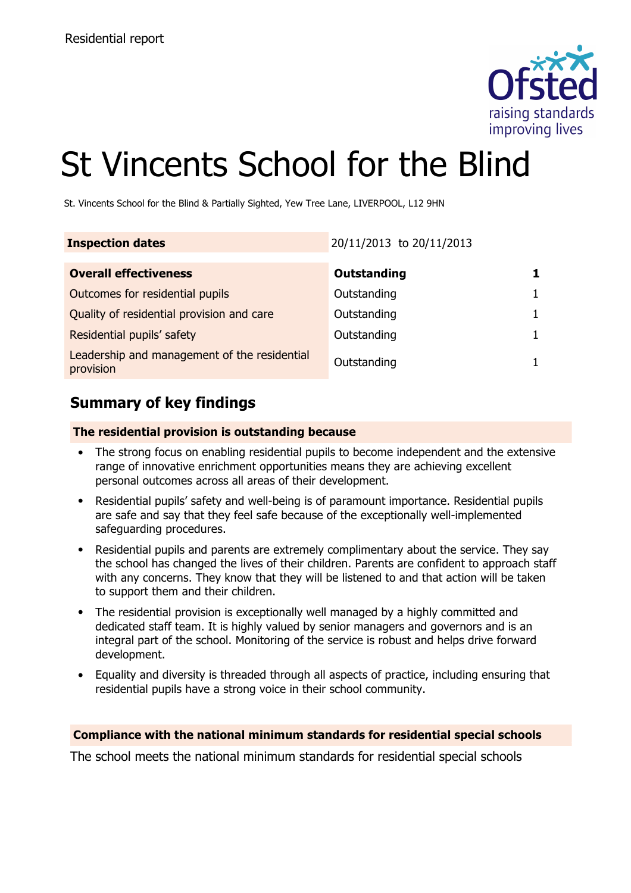

# St Vincents School for the Blind

St. Vincents School for the Blind & Partially Sighted, Yew Tree Lane, LIVERPOOL, L12 9HN

| <b>Inspection dates</b>                                   | 20/11/2013 to 20/11/2013 |  |
|-----------------------------------------------------------|--------------------------|--|
| <b>Overall effectiveness</b>                              | Outstanding              |  |
| Outcomes for residential pupils                           | Outstanding              |  |
| Quality of residential provision and care                 | Outstanding              |  |
| Residential pupils' safety                                | Outstanding              |  |
| Leadership and management of the residential<br>provision | Outstanding              |  |

### **Summary of key findings**

#### **The residential provision is outstanding because**

- The strong focus on enabling residential pupils to become independent and the extensive range of innovative enrichment opportunities means they are achieving excellent personal outcomes across all areas of their development.
- Residential pupils' safety and well-being is of paramount importance. Residential pupils are safe and say that they feel safe because of the exceptionally well-implemented safeguarding procedures.
- Residential pupils and parents are extremely complimentary about the service. They say the school has changed the lives of their children. Parents are confident to approach staff with any concerns. They know that they will be listened to and that action will be taken to support them and their children.
- The residential provision is exceptionally well managed by a highly committed and dedicated staff team. It is highly valued by senior managers and governors and is an integral part of the school. Monitoring of the service is robust and helps drive forward development.
- Equality and diversity is threaded through all aspects of practice, including ensuring that residential pupils have a strong voice in their school community.

#### **Compliance with the national minimum standards for residential special schools**

The school meets the national minimum standards for residential special schools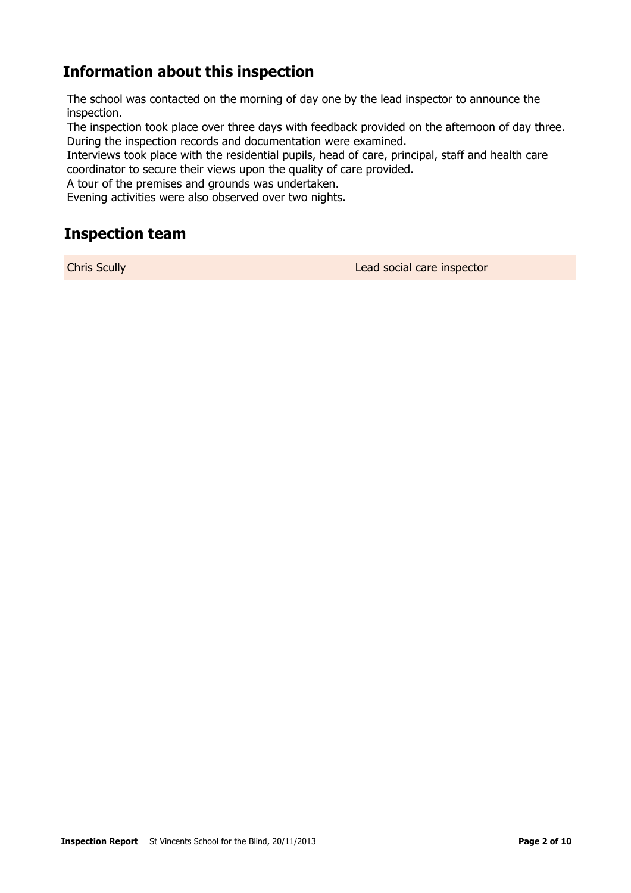# **Information about this inspection**

The school was contacted on the morning of day one by the lead inspector to announce the inspection.

The inspection took place over three days with feedback provided on the afternoon of day three. During the inspection records and documentation were examined.

Interviews took place with the residential pupils, head of care, principal, staff and health care coordinator to secure their views upon the quality of care provided.

A tour of the premises and grounds was undertaken.

Evening activities were also observed over two nights.

### **Inspection team**

Chris Scully Lead social care inspector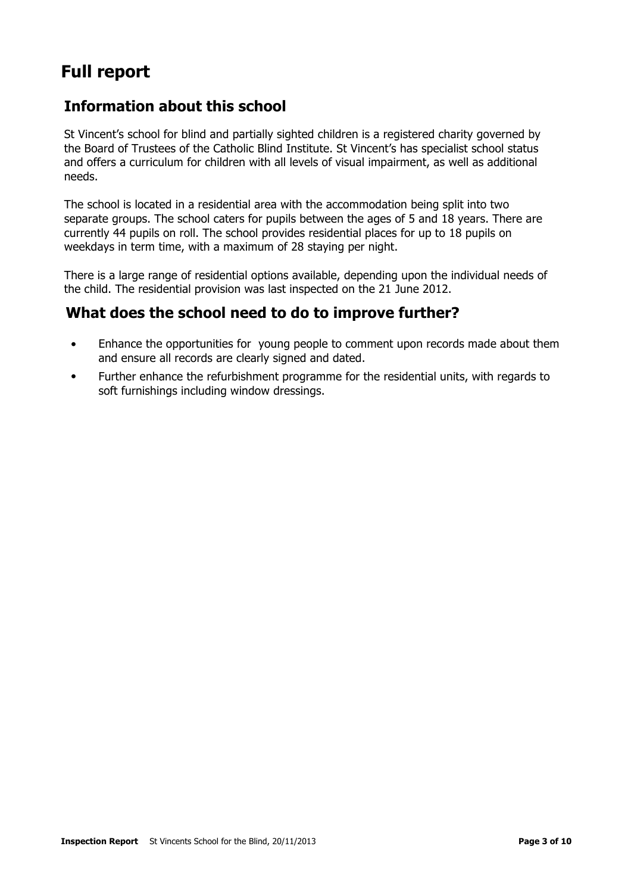# **Full report**

## **Information about this school**

St Vincent's school for blind and partially sighted children is a registered charity governed by the Board of Trustees of the Catholic Blind Institute. St Vincent's has specialist school status and offers a curriculum for children with all levels of visual impairment, as well as additional needs.

The school is located in a residential area with the accommodation being split into two separate groups. The school caters for pupils between the ages of 5 and 18 years. There are currently 44 pupils on roll. The school provides residential places for up to 18 pupils on weekdays in term time, with a maximum of 28 staying per night.

There is a large range of residential options available, depending upon the individual needs of the child. The residential provision was last inspected on the 21 June 2012.

### **What does the school need to do to improve further?**

- Enhance the opportunities for young people to comment upon records made about them and ensure all records are clearly signed and dated.
- Further enhance the refurbishment programme for the residential units, with regards to soft furnishings including window dressings.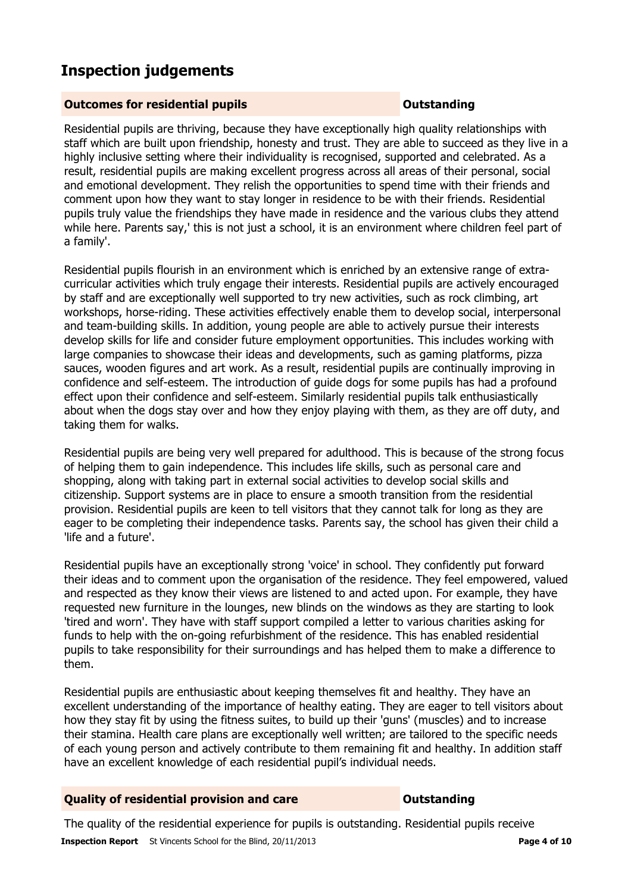# **Inspection judgements**

#### **Outcomes for residential pupils Outstanding**

Residential pupils are thriving, because they have exceptionally high quality relationships with staff which are built upon friendship, honesty and trust. They are able to succeed as they live in a highly inclusive setting where their individuality is recognised, supported and celebrated. As a result, residential pupils are making excellent progress across all areas of their personal, social and emotional development. They relish the opportunities to spend time with their friends and comment upon how they want to stay longer in residence to be with their friends. Residential pupils truly value the friendships they have made in residence and the various clubs they attend while here. Parents say,' this is not just a school, it is an environment where children feel part of a family'.

Residential pupils flourish in an environment which is enriched by an extensive range of extracurricular activities which truly engage their interests. Residential pupils are actively encouraged by staff and are exceptionally well supported to try new activities, such as rock climbing, art workshops, horse-riding. These activities effectively enable them to develop social, interpersonal and team-building skills. In addition, young people are able to actively pursue their interests develop skills for life and consider future employment opportunities. This includes working with large companies to showcase their ideas and developments, such as gaming platforms, pizza sauces, wooden figures and art work. As a result, residential pupils are continually improving in confidence and self-esteem. The introduction of guide dogs for some pupils has had a profound effect upon their confidence and self-esteem. Similarly residential pupils talk enthusiastically about when the dogs stay over and how they enjoy playing with them, as they are off duty, and taking them for walks.

Residential pupils are being very well prepared for adulthood. This is because of the strong focus of helping them to gain independence. This includes life skills, such as personal care and shopping, along with taking part in external social activities to develop social skills and citizenship. Support systems are in place to ensure a smooth transition from the residential provision. Residential pupils are keen to tell visitors that they cannot talk for long as they are eager to be completing their independence tasks. Parents say, the school has given their child a 'life and a future'.

Residential pupils have an exceptionally strong 'voice' in school. They confidently put forward their ideas and to comment upon the organisation of the residence. They feel empowered, valued and respected as they know their views are listened to and acted upon. For example, they have requested new furniture in the lounges, new blinds on the windows as they are starting to look 'tired and worn'. They have with staff support compiled a letter to various charities asking for funds to help with the on-going refurbishment of the residence. This has enabled residential pupils to take responsibility for their surroundings and has helped them to make a difference to them.

Residential pupils are enthusiastic about keeping themselves fit and healthy. They have an excellent understanding of the importance of healthy eating. They are eager to tell visitors about how they stay fit by using the fitness suites, to build up their 'guns' (muscles) and to increase their stamina. Health care plans are exceptionally well written; are tailored to the specific needs of each young person and actively contribute to them remaining fit and healthy. In addition staff have an excellent knowledge of each residential pupil's individual needs.

#### **Quality of residential provision and care Outstanding**

**Inspection Report** St Vincents School for the Blind, 20/11/2013 **Page 4 of 10 Page 4 of 10** The quality of the residential experience for pupils is outstanding. Residential pupils receive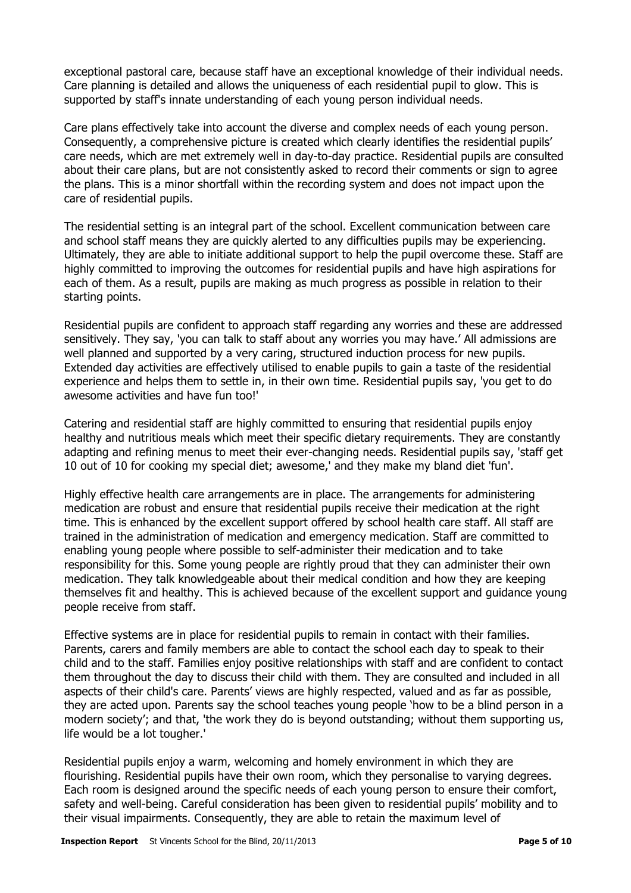exceptional pastoral care, because staff have an exceptional knowledge of their individual needs. Care planning is detailed and allows the uniqueness of each residential pupil to glow. This is supported by staff's innate understanding of each young person individual needs.

Care plans effectively take into account the diverse and complex needs of each young person. Consequently, a comprehensive picture is created which clearly identifies the residential pupils' care needs, which are met extremely well in day-to-day practice. Residential pupils are consulted about their care plans, but are not consistently asked to record their comments or sign to agree the plans. This is a minor shortfall within the recording system and does not impact upon the care of residential pupils.

The residential setting is an integral part of the school. Excellent communication between care and school staff means they are quickly alerted to any difficulties pupils may be experiencing. Ultimately, they are able to initiate additional support to help the pupil overcome these. Staff are highly committed to improving the outcomes for residential pupils and have high aspirations for each of them. As a result, pupils are making as much progress as possible in relation to their starting points.

Residential pupils are confident to approach staff regarding any worries and these are addressed sensitively. They say, 'you can talk to staff about any worries you may have.' All admissions are well planned and supported by a very caring, structured induction process for new pupils. Extended day activities are effectively utilised to enable pupils to gain a taste of the residential experience and helps them to settle in, in their own time. Residential pupils say, 'you get to do awesome activities and have fun too!'

Catering and residential staff are highly committed to ensuring that residential pupils enjoy healthy and nutritious meals which meet their specific dietary requirements. They are constantly adapting and refining menus to meet their ever-changing needs. Residential pupils say, 'staff get 10 out of 10 for cooking my special diet; awesome,' and they make my bland diet 'fun'.

Highly effective health care arrangements are in place. The arrangements for administering medication are robust and ensure that residential pupils receive their medication at the right time. This is enhanced by the excellent support offered by school health care staff. All staff are trained in the administration of medication and emergency medication. Staff are committed to enabling young people where possible to self-administer their medication and to take responsibility for this. Some young people are rightly proud that they can administer their own medication. They talk knowledgeable about their medical condition and how they are keeping themselves fit and healthy. This is achieved because of the excellent support and guidance young people receive from staff.

Effective systems are in place for residential pupils to remain in contact with their families. Parents, carers and family members are able to contact the school each day to speak to their child and to the staff. Families enjoy positive relationships with staff and are confident to contact them throughout the day to discuss their child with them. They are consulted and included in all aspects of their child's care. Parents' views are highly respected, valued and as far as possible, they are acted upon. Parents say the school teaches young people 'how to be a blind person in a modern society'; and that, 'the work they do is beyond outstanding; without them supporting us, life would be a lot tougher.'

Residential pupils enjoy a warm, welcoming and homely environment in which they are flourishing. Residential pupils have their own room, which they personalise to varying degrees. Each room is designed around the specific needs of each young person to ensure their comfort, safety and well-being. Careful consideration has been given to residential pupils' mobility and to their visual impairments. Consequently, they are able to retain the maximum level of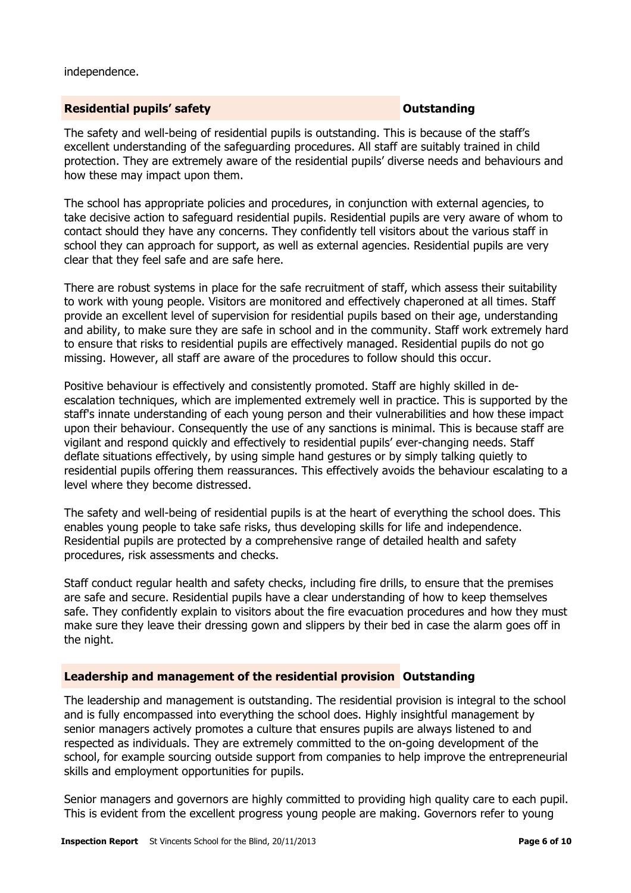independence.

#### **Residential pupils' safety CONSTANDING THE SAFETY CONSTANDING THE SAFETY OUTSTANDING**

The safety and well-being of residential pupils is outstanding. This is because of the staff's excellent understanding of the safeguarding procedures. All staff are suitably trained in child protection. They are extremely aware of the residential pupils' diverse needs and behaviours and how these may impact upon them.

The school has appropriate policies and procedures, in conjunction with external agencies, to take decisive action to safeguard residential pupils. Residential pupils are very aware of whom to contact should they have any concerns. They confidently tell visitors about the various staff in school they can approach for support, as well as external agencies. Residential pupils are very clear that they feel safe and are safe here.

There are robust systems in place for the safe recruitment of staff, which assess their suitability to work with young people. Visitors are monitored and effectively chaperoned at all times. Staff provide an excellent level of supervision for residential pupils based on their age, understanding and ability, to make sure they are safe in school and in the community. Staff work extremely hard to ensure that risks to residential pupils are effectively managed. Residential pupils do not go missing. However, all staff are aware of the procedures to follow should this occur.

Positive behaviour is effectively and consistently promoted. Staff are highly skilled in deescalation techniques, which are implemented extremely well in practice. This is supported by the staff's innate understanding of each young person and their vulnerabilities and how these impact upon their behaviour. Consequently the use of any sanctions is minimal. This is because staff are vigilant and respond quickly and effectively to residential pupils' ever-changing needs. Staff deflate situations effectively, by using simple hand gestures or by simply talking quietly to residential pupils offering them reassurances. This effectively avoids the behaviour escalating to a level where they become distressed.

The safety and well-being of residential pupils is at the heart of everything the school does. This enables young people to take safe risks, thus developing skills for life and independence. Residential pupils are protected by a comprehensive range of detailed health and safety procedures, risk assessments and checks.

Staff conduct regular health and safety checks, including fire drills, to ensure that the premises are safe and secure. Residential pupils have a clear understanding of how to keep themselves safe. They confidently explain to visitors about the fire evacuation procedures and how they must make sure they leave their dressing gown and slippers by their bed in case the alarm goes off in the night.

#### **Leadership and management of the residential provision Outstanding**

The leadership and management is outstanding. The residential provision is integral to the school and is fully encompassed into everything the school does. Highly insightful management by senior managers actively promotes a culture that ensures pupils are always listened to and respected as individuals. They are extremely committed to the on-going development of the school, for example sourcing outside support from companies to help improve the entrepreneurial skills and employment opportunities for pupils.

Senior managers and governors are highly committed to providing high quality care to each pupil. This is evident from the excellent progress young people are making. Governors refer to young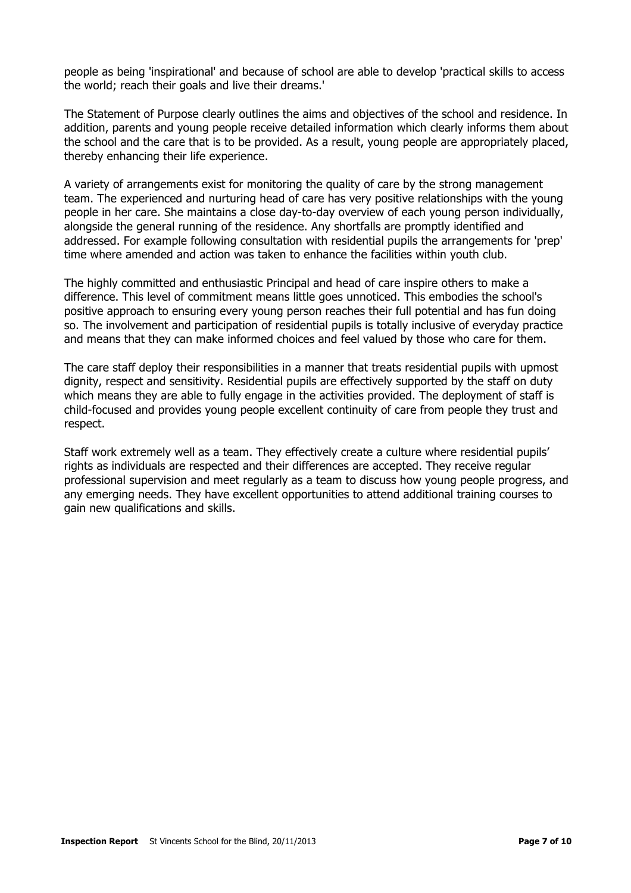people as being 'inspirational' and because of school are able to develop 'practical skills to access the world; reach their goals and live their dreams.'

The Statement of Purpose clearly outlines the aims and objectives of the school and residence. In addition, parents and young people receive detailed information which clearly informs them about the school and the care that is to be provided. As a result, young people are appropriately placed, thereby enhancing their life experience.

A variety of arrangements exist for monitoring the quality of care by the strong management team. The experienced and nurturing head of care has very positive relationships with the young people in her care. She maintains a close day-to-day overview of each young person individually, alongside the general running of the residence. Any shortfalls are promptly identified and addressed. For example following consultation with residential pupils the arrangements for 'prep' time where amended and action was taken to enhance the facilities within youth club.

The highly committed and enthusiastic Principal and head of care inspire others to make a difference. This level of commitment means little goes unnoticed. This embodies the school's positive approach to ensuring every young person reaches their full potential and has fun doing so. The involvement and participation of residential pupils is totally inclusive of everyday practice and means that they can make informed choices and feel valued by those who care for them.

The care staff deploy their responsibilities in a manner that treats residential pupils with upmost dignity, respect and sensitivity. Residential pupils are effectively supported by the staff on duty which means they are able to fully engage in the activities provided. The deployment of staff is child-focused and provides young people excellent continuity of care from people they trust and respect.

Staff work extremely well as a team. They effectively create a culture where residential pupils' rights as individuals are respected and their differences are accepted. They receive regular professional supervision and meet regularly as a team to discuss how young people progress, and any emerging needs. They have excellent opportunities to attend additional training courses to gain new qualifications and skills.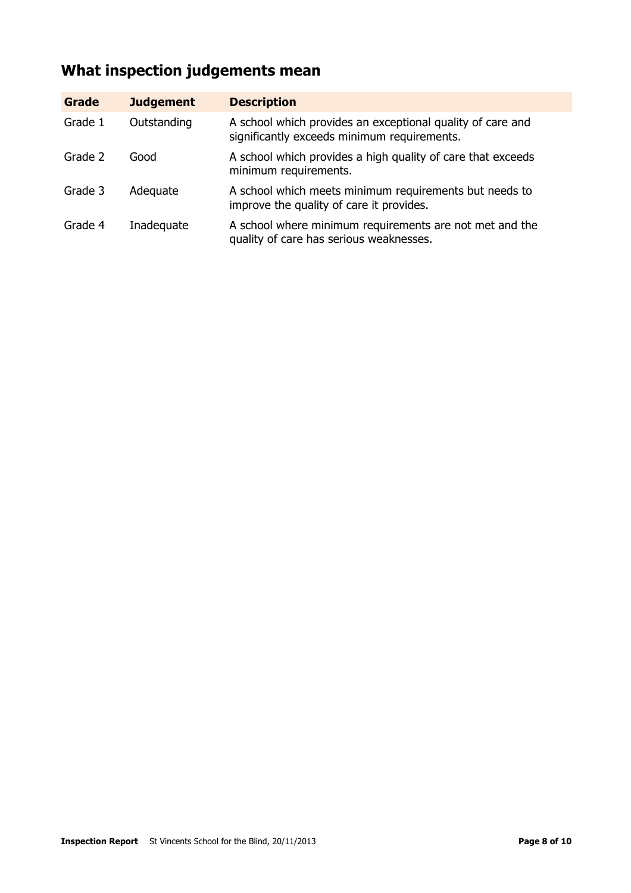# **What inspection judgements mean**

| Grade   | <b>Judgement</b> | <b>Description</b>                                                                                        |
|---------|------------------|-----------------------------------------------------------------------------------------------------------|
| Grade 1 | Outstanding      | A school which provides an exceptional quality of care and<br>significantly exceeds minimum requirements. |
| Grade 2 | Good             | A school which provides a high quality of care that exceeds<br>minimum requirements.                      |
| Grade 3 | Adequate         | A school which meets minimum requirements but needs to<br>improve the quality of care it provides.        |
| Grade 4 | Inadequate       | A school where minimum requirements are not met and the<br>quality of care has serious weaknesses.        |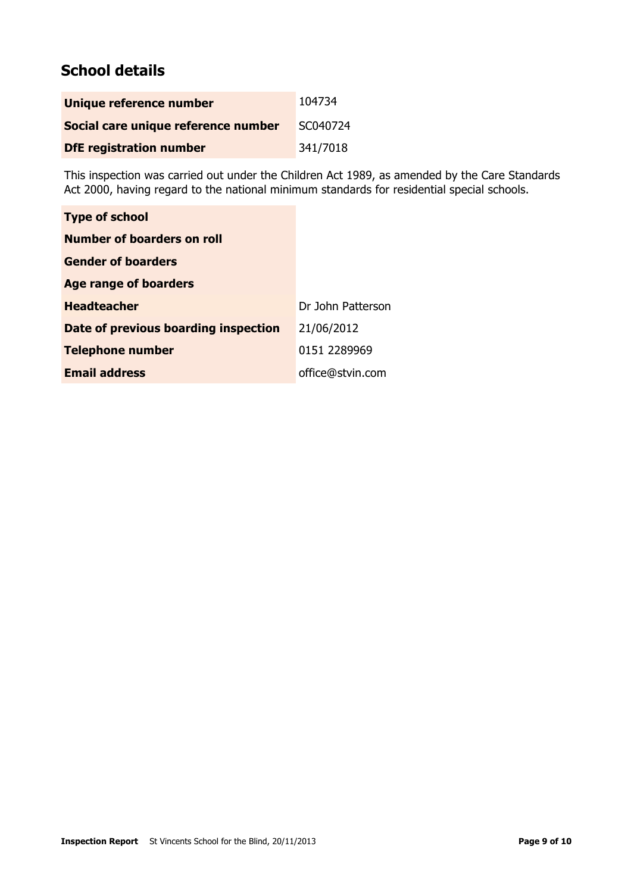# **School details**

| Unique reference number             | 104734   |
|-------------------------------------|----------|
| Social care unique reference number | SC040724 |
| <b>DfE</b> registration number      | 341/7018 |

This inspection was carried out under the Children Act 1989, as amended by the Care Standards Act 2000, having regard to the national minimum standards for residential special schools.

| <b>Type of school</b>                |                   |
|--------------------------------------|-------------------|
| Number of boarders on roll           |                   |
| <b>Gender of boarders</b>            |                   |
| <b>Age range of boarders</b>         |                   |
| <b>Headteacher</b>                   | Dr John Patterson |
| Date of previous boarding inspection | 21/06/2012        |
| <b>Telephone number</b>              | 0151 2289969      |
| <b>Email address</b>                 | office@stvin.com  |